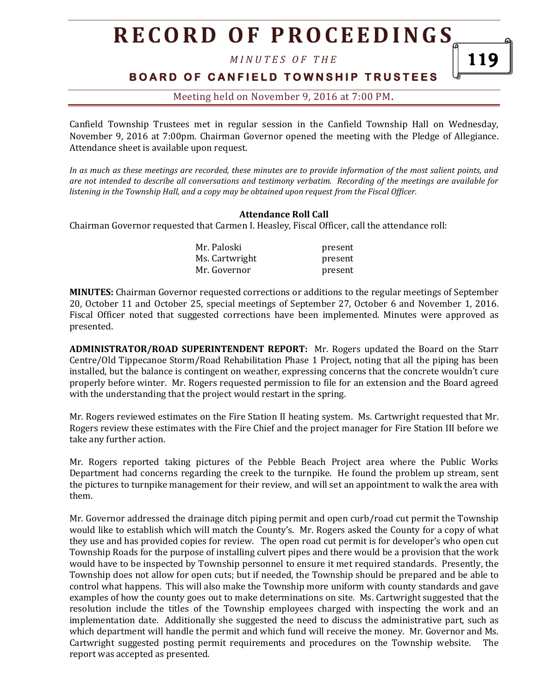*M I N U T E S O F T H E* 

## **BOARD OF CANFIELD TOWNSHIP TRUSTEES**

119

### Meeting held on November 9, 2016 at 7:00 PM**.**

Canfield Township Trustees met in regular session in the Canfield Township Hall on Wednesday, November 9, 2016 at 7:00pm. Chairman Governor opened the meeting with the Pledge of Allegiance. Attendance sheet is available upon request.

*In as much as these meetings are recorded, these minutes are to provide information of the most salient points, and are not intended to describe all conversations and testimony verbatim. Recording of the meetings are available for listening in the Township Hall, and a copy may be obtained upon request from the Fiscal Officer.* 

#### **Attendance Roll Call**

Chairman Governor requested that Carmen I. Heasley, Fiscal Officer, call the attendance roll:

| Mr. Paloski    | present |
|----------------|---------|
| Ms. Cartwright | present |
| Mr. Governor   | present |

**MINUTES:** Chairman Governor requested corrections or additions to the regular meetings of September 20, October 11 and October 25, special meetings of September 27, October 6 and November 1, 2016. Fiscal Officer noted that suggested corrections have been implemented. Minutes were approved as presented.

**ADMINISTRATOR/ROAD SUPERINTENDENT REPORT:** Mr. Rogers updated the Board on the Starr Centre/Old Tippecanoe Storm/Road Rehabilitation Phase 1 Project, noting that all the piping has been installed, but the balance is contingent on weather, expressing concerns that the concrete wouldn't cure properly before winter. Mr. Rogers requested permission to file for an extension and the Board agreed with the understanding that the project would restart in the spring.

Mr. Rogers reviewed estimates on the Fire Station II heating system. Ms. Cartwright requested that Mr. Rogers review these estimates with the Fire Chief and the project manager for Fire Station III before we take any further action.

Mr. Rogers reported taking pictures of the Pebble Beach Project area where the Public Works Department had concerns regarding the creek to the turnpike. He found the problem up stream, sent the pictures to turnpike management for their review, and will set an appointment to walk the area with them.

Mr. Governor addressed the drainage ditch piping permit and open curb/road cut permit the Township would like to establish which will match the County's. Mr. Rogers asked the County for a copy of what they use and has provided copies for review. The open road cut permit is for developer's who open cut Township Roads for the purpose of installing culvert pipes and there would be a provision that the work would have to be inspected by Township personnel to ensure it met required standards. Presently, the Township does not allow for open cuts; but if needed, the Township should be prepared and be able to control what happens. This will also make the Township more uniform with county standards and gave examples of how the county goes out to make determinations on site. Ms. Cartwright suggested that the resolution include the titles of the Township employees charged with inspecting the work and an implementation date. Additionally she suggested the need to discuss the administrative part, such as which department will handle the permit and which fund will receive the money. Mr. Governor and Ms. Cartwright suggested posting permit requirements and procedures on the Township website. The report was accepted as presented.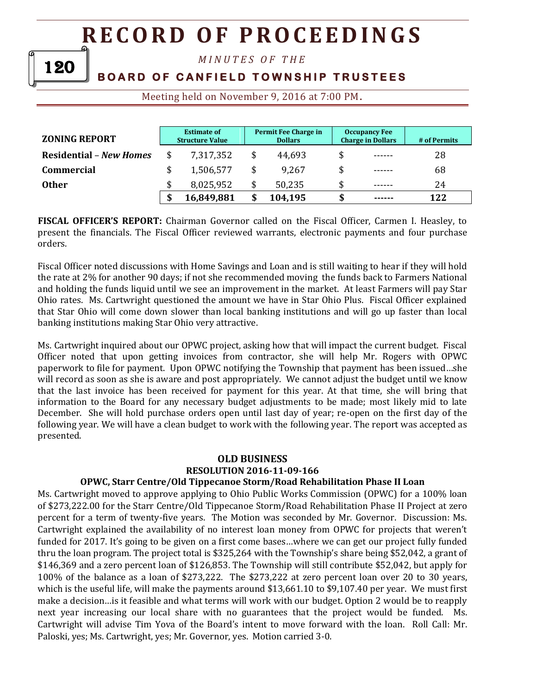*M I N U T E S O F T H E* 

# **BOARD OF CANFIELD TOWNSHIP TRUSTEES**

Meeting held on November 9, 2016 at 7:00 PM**.**

| <b>ZONING REPORT</b>           | <b>Estimate of</b><br><b>Structure Value</b> |            | Permit Fee Charge in<br><b>Dollars</b> |         | <b>Occupancy Fee</b><br><b>Charge in Dollars</b> |        | # of Permits |
|--------------------------------|----------------------------------------------|------------|----------------------------------------|---------|--------------------------------------------------|--------|--------------|
| <b>Residential - New Homes</b> |                                              | 7,317,352  |                                        | 44,693  | \$                                               | ------ | 28           |
| <b>Commercial</b>              |                                              | 1,506,577  |                                        | 9.267   | \$                                               | ------ | 68           |
| <b>Other</b>                   |                                              | 8,025,952  |                                        | 50,235  |                                                  | ------ | 24           |
|                                |                                              | 16,849,881 |                                        | 104,195 |                                                  | ------ | 122          |

**FISCAL OFFICER'S REPORT:** Chairman Governor called on the Fiscal Officer, Carmen I. Heasley, to present the financials. The Fiscal Officer reviewed warrants, electronic payments and four purchase orders.

Fiscal Officer noted discussions with Home Savings and Loan and is still waiting to hear if they will hold the rate at 2% for another 90 days; if not she recommended moving the funds back to Farmers National and holding the funds liquid until we see an improvement in the market. At least Farmers will pay Star Ohio rates. Ms. Cartwright questioned the amount we have in Star Ohio Plus. Fiscal Officer explained that Star Ohio will come down slower than local banking institutions and will go up faster than local banking institutions making Star Ohio very attractive.

Ms. Cartwright inquired about our OPWC project, asking how that will impact the current budget. Fiscal Officer noted that upon getting invoices from contractor, she will help Mr. Rogers with OPWC paperwork to file for payment. Upon OPWC notifying the Township that payment has been issued…she will record as soon as she is aware and post appropriately. We cannot adjust the budget until we know that the last invoice has been received for payment for this year. At that time, she will bring that information to the Board for any necessary budget adjustments to be made; most likely mid to late December. She will hold purchase orders open until last day of year; re-open on the first day of the following year. We will have a clean budget to work with the following year. The report was accepted as presented.

#### **OLD BUSINESS**

#### **RESOLUTION 2016-11-09-166**

### **OPWC, Starr Centre/Old Tippecanoe Storm/Road Rehabilitation Phase II Loan**

Ms. Cartwright moved to approve applying to Ohio Public Works Commission (OPWC) for a 100% loan of \$273,222.00 for the Starr Centre/Old Tippecanoe Storm/Road Rehabilitation Phase II Project at zero percent for a term of twenty-five years. The Motion was seconded by Mr. Governor. Discussion: Ms. Cartwright explained the availability of no interest loan money from OPWC for projects that weren't funded for 2017. It's going to be given on a first come bases…where we can get our project fully funded thru the loan program. The project total is \$325,264 with the Township's share being \$52,042, a grant of \$146,369 and a zero percent loan of \$126,853. The Township will still contribute \$52,042, but apply for 100% of the balance as a loan of \$273,222. The \$273,222 at zero percent loan over 20 to 30 years, which is the useful life, will make the payments around \$13,661.10 to \$9,107.40 per year. We must first make a decision…is it feasible and what terms will work with our budget. Option 2 would be to reapply next year increasing our local share with no guarantees that the project would be funded. Ms. Cartwright will advise Tim Yova of the Board's intent to move forward with the loan. Roll Call: Mr. Paloski, yes; Ms. Cartwright, yes; Mr. Governor, yes. Motion carried 3-0.

120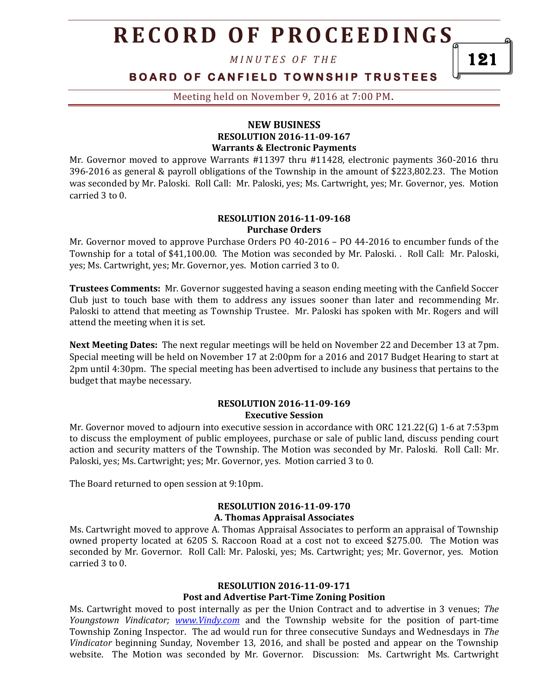*M I N U T E S O F T H E* 

## **BOARD OF CANFIELD TOWNSHIP TRUSTEES**

Meeting held on November 9, 2016 at 7:00 PM**.**

### **NEW BUSINESS RESOLUTION 2016-11-09-167 Warrants & Electronic Payments**

Mr. Governor moved to approve Warrants #11397 thru #11428, electronic payments 360-2016 thru 396-2016 as general & payroll obligations of the Township in the amount of \$223,802.23. The Motion was seconded by Mr. Paloski. Roll Call: Mr. Paloski, yes; Ms. Cartwright, yes; Mr. Governor, yes. Motion carried 3 to 0.

#### **RESOLUTION 2016-11-09-168 Purchase Orders**

Mr. Governor moved to approve Purchase Orders PO 40-2016 – PO 44-2016 to encumber funds of the Township for a total of \$41,100.00. The Motion was seconded by Mr. Paloski. . Roll Call: Mr. Paloski, yes; Ms. Cartwright, yes; Mr. Governor, yes. Motion carried 3 to 0.

**Trustees Comments:** Mr. Governor suggested having a season ending meeting with the Canfield Soccer Club just to touch base with them to address any issues sooner than later and recommending Mr. Paloski to attend that meeting as Township Trustee. Mr. Paloski has spoken with Mr. Rogers and will attend the meeting when it is set.

**Next Meeting Dates:** The next regular meetings will be held on November 22 and December 13 at 7pm. Special meeting will be held on November 17 at 2:00pm for a 2016 and 2017 Budget Hearing to start at 2pm until 4:30pm. The special meeting has been advertised to include any business that pertains to the budget that maybe necessary.

#### **RESOLUTION 2016-11-09-169 Executive Session**

Mr. Governor moved to adjourn into executive session in accordance with ORC 121.22(G) 1-6 at 7:53pm to discuss the employment of public employees, purchase or sale of public land, discuss pending court action and security matters of the Township. The Motion was seconded by Mr. Paloski. Roll Call: Mr. Paloski, yes; Ms. Cartwright; yes; Mr. Governor, yes. Motion carried 3 to 0.

The Board returned to open session at 9:10pm.

### **RESOLUTION 2016-11-09-170 A. Thomas Appraisal Associates**

Ms. Cartwright moved to approve A. Thomas Appraisal Associates to perform an appraisal of Township owned property located at 6205 S. Raccoon Road at a cost not to exceed \$275.00. The Motion was seconded by Mr. Governor. Roll Call: Mr. Paloski, yes; Ms. Cartwright; yes; Mr. Governor, yes. Motion carried 3 to 0.

# **RESOLUTION 2016-11-09-171**

## **Post and Advertise Part-Time Zoning Position**

Ms. Cartwright moved to post internally as per the Union Contract and to advertise in 3 venues; *The Youngstown Vindicator; [www.Vindy.com](http://www.vindy.com/)* and the Township website for the position of part-time Township Zoning Inspector. The ad would run for three consecutive Sundays and Wednesdays in *The Vindicator* beginning Sunday, November 13, 2016, and shall be posted and appear on the Township website. The Motion was seconded by Mr. Governor. Discussion: Ms. Cartwright Ms. Cartwright

121